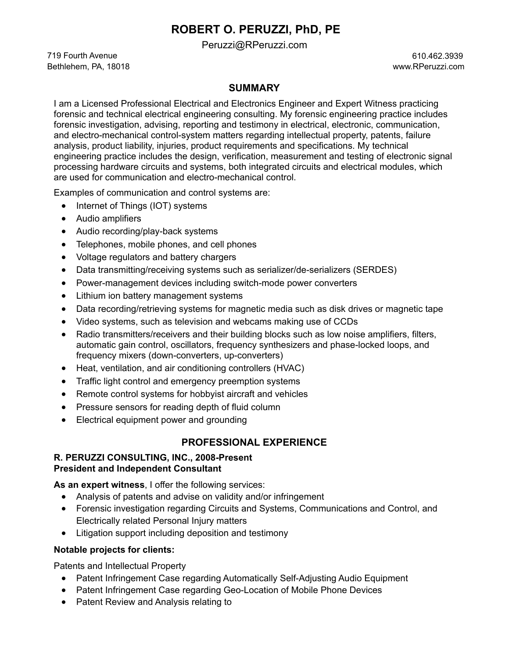# **ROBERT O. PERUZZI, PhD, PE**

[Peruzzi@RPeruzzi.com](mailto:Peruzzi@RPeruzzi.com)

719 Fourth Avenue 610.462.3939 Bethlehem, PA, 18018 [www.RPeruzzi.com](http://www.rperuzzi.com/)

## **SUMMARY**

I am a Licensed Professional Electrical and Electronics Engineer and Expert Witness practicing forensic and technical electrical engineering consulting. My forensic engineering practice includes forensic investigation, advising, reporting and testimony in electrical, electronic, communication, and electro-mechanical control-system matters regarding intellectual property, patents, failure analysis, product liability, injuries, product requirements and specifications. My technical engineering practice includes the design, verification, measurement and testing of electronic signal processing hardware circuits and systems, both integrated circuits and electrical modules, which are used for communication and electro-mechanical control.

Examples of communication and control systems are:

- Internet of Things (IOT) systems
- Audio amplifiers
- Audio recording/play-back systems
- Telephones, mobile phones, and cell phones
- Voltage regulators and battery chargers
- Data transmitting/receiving systems such as serializer/de-serializers (SERDES)
- Power-management devices including switch-mode power converters
- Lithium ion battery management systems
- Data recording/retrieving systems for magnetic media such as disk drives or magnetic tape
- Video systems, such as television and webcams making use of CCDs
- Radio transmitters/receivers and their building blocks such as low noise amplifiers, filters, automatic gain control, oscillators, frequency synthesizers and phase-locked loops, and frequency mixers (down-converters, up-converters)
- Heat, ventilation, and air conditioning controllers (HVAC)
- Traffic light control and emergency preemption systems
- Remote control systems for hobbyist aircraft and vehicles
- Pressure sensors for reading depth of fluid column
- Electrical equipment power and grounding

# **PROFESSIONAL EXPERIENCE**

#### **R. PERUZZI CONSULTING, INC., 2008-Present President and Independent Consultant**

**As an expert witness**, I offer the following services:

- Analysis of patents and advise on validity and/or infringement
- Forensic investigation regarding Circuits and Systems, Communications and Control, and Electrically related Personal Injury matters
- Litigation support including deposition and testimony

## **Notable projects for clients:**

Patents and Intellectual Property

- Patent Infringement Case regarding Automatically Self-Adjusting Audio Equipment
- Patent Infringement Case regarding Geo-Location of Mobile Phone Devices
- Patent Review and Analysis relating to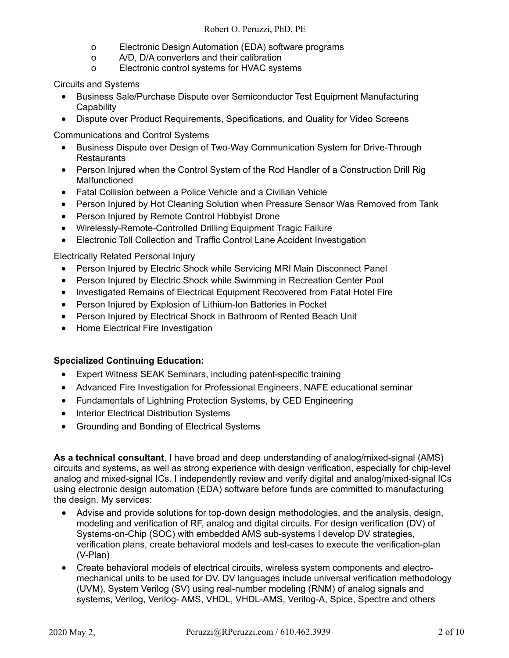- o Electronic Design Automation (EDA) software programs
- o A/D, D/A converters and their calibration
- o Electronic control systems for HVAC systems

Circuits and Systems

- Business Sale/Purchase Dispute over Semiconductor Test Equipment Manufacturing **Capability**
- Dispute over Product Requirements, Specifications, and Quality for Video Screens

Communications and Control Systems

- Business Dispute over Design of Two-Way Communication System for Drive-Through Restaurants
- Person Injured when the Control System of the Rod Handler of a Construction Drill Rig Malfunctioned
- Fatal Collision between a Police Vehicle and a Civilian Vehicle
- Person Injured by Hot Cleaning Solution when Pressure Sensor Was Removed from Tank
- Person Injured by Remote Control Hobbyist Drone
- Wirelessly-Remote-Controlled Drilling Equipment Tragic Failure
- Electronic Toll Collection and Traffic Control Lane Accident Investigation

Electrically Related Personal Injury

- Person Injured by Electric Shock while Servicing MRI Main Disconnect Panel
- Person Injured by Electric Shock while Swimming in Recreation Center Pool
- Investigated Remains of Electrical Equipment Recovered from Fatal Hotel Fire
- Person Injured by Explosion of Lithium-Ion Batteries in Pocket
- Person Injured by Electrical Shock in Bathroom of Rented Beach Unit
- Home Electrical Fire Investigation

## **Specialized Continuing Education:**

- Expert Witness SEAK Seminars, including patent-specific training
- Advanced Fire Investigation for Professional Engineers, NAFE educational seminar
- Fundamentals of Lightning Protection Systems, by CED Engineering
- Interior Electrical Distribution Systems
- Grounding and Bonding of Electrical Systems

**As a technical consultant**, I have broad and deep understanding of analog/mixed-signal (AMS) circuits and systems, as well as strong experience with design verification, especially for chip-level analog and mixed-signal ICs. I independently review and verify digital and analog/mixed-signal ICs using electronic design automation (EDA) software before funds are committed to manufacturing the design. My services:

- Advise and provide solutions for top-down design methodologies, and the analysis, design, modeling and verification of RF, analog and digital circuits. For design verification (DV) of Systems-on-Chip (SOC) with embedded AMS sub-systems I develop DV strategies, verification plans, create behavioral models and test-cases to execute the verification-plan (V-Plan)
- Create behavioral models of electrical circuits, wireless system components and electromechanical units to be used for DV. DV languages include universal verification methodology (UVM), System Verilog (SV) using real-number modeling (RNM) of analog signals and systems, Verilog, Verilog- AMS, VHDL, VHDL-AMS, Verilog-A, Spice, Spectre and others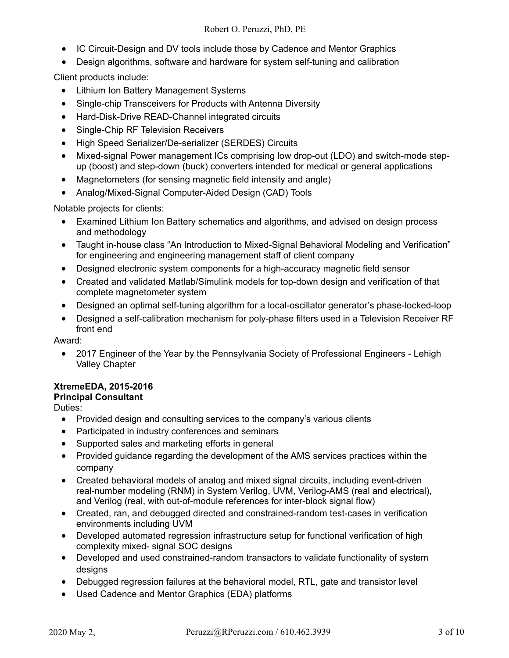- IC Circuit-Design and DV tools include those by Cadence and Mentor Graphics
- Design algorithms, software and hardware for system self-tuning and calibration

Client products include:

- Lithium Ion Battery Management Systems
- Single-chip Transceivers for Products with Antenna Diversity
- Hard-Disk-Drive READ-Channel integrated circuits
- Single-Chip RF Television Receivers
- High Speed Serializer/De-serializer (SERDES) Circuits
- Mixed-signal Power management ICs comprising low drop-out (LDO) and switch-mode stepup (boost) and step-down (buck) converters intended for medical or general applications
- Magnetometers (for sensing magnetic field intensity and angle)
- Analog/Mixed-Signal Computer-Aided Design (CAD) Tools

Notable projects for clients:

- Examined Lithium Ion Battery schematics and algorithms, and advised on design process and methodology
- Taught in-house class "An Introduction to Mixed-Signal Behavioral Modeling and Verification" for engineering and engineering management staff of client company
- Designed electronic system components for a high-accuracy magnetic field sensor
- Created and validated Matlab/Simulink models for top-down design and verification of that complete magnetometer system
- Designed an optimal self-tuning algorithm for a local-oscillator generator's phase-locked-loop
- Designed a self-calibration mechanism for poly-phase filters used in a Television Receiver RF front end

Award:

• 2017 Engineer of the Year by the Pennsylvania Society of Professional Engineers - Lehigh Valley Chapter

#### **XtremeEDA, 2015-2016**

## **Principal Consultant**

Duties:

- Provided design and consulting services to the company's various clients
- Participated in industry conferences and seminars
- Supported sales and marketing efforts in general
- Provided guidance regarding the development of the AMS services practices within the company
- Created behavioral models of analog and mixed signal circuits, including event-driven real-number modeling (RNM) in System Verilog, UVM, Verilog-AMS (real and electrical), and Verilog (real, with out-of-module references for inter-block signal flow)
- Created, ran, and debugged directed and constrained-random test-cases in verification environments including UVM
- Developed automated regression infrastructure setup for functional verification of high complexity mixed- signal SOC designs
- Developed and used constrained-random transactors to validate functionality of system desians
- Debugged regression failures at the behavioral model, RTL, gate and transistor level
- Used Cadence and Mentor Graphics (EDA) platforms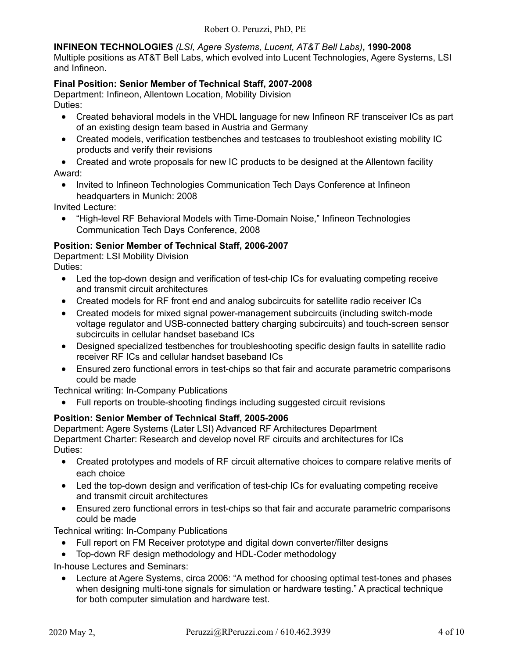**INFINEON TECHNOLOGIES** *(LSI, Agere Systems, Lucent, AT&T Bell Labs)***, 1990-2008**

Multiple positions as AT&T Bell Labs, which evolved into Lucent Technologies, Agere Systems, LSI and Infineon.

## **Final Position: Senior Member of Technical Staff, 2007-2008**

Department: Infineon, Allentown Location, Mobility Division Duties:

- Created behavioral models in the VHDL language for new Infineon RF transceiver ICs as part of an existing design team based in Austria and Germany
- Created models, verification testbenches and testcases to troubleshoot existing mobility IC products and verify their revisions

• Created and wrote proposals for new IC products to be designed at the Allentown facility Award:

• Invited to Infineon Technologies Communication Tech Days Conference at Infineon headquarters in Munich: 2008

Invited Lecture:

• "High-level RF Behavioral Models with Time-Domain Noise," Infineon Technologies Communication Tech Days Conference, 2008

## **Position: Senior Member of Technical Staff, 2006-2007**

Department: LSI Mobility Division Duties:

- Led the top-down design and verification of test-chip ICs for evaluating competing receive and transmit circuit architectures
- Created models for RF front end and analog subcircuits for satellite radio receiver ICs
- Created models for mixed signal power-management subcircuits (including switch-mode voltage regulator and USB-connected battery charging subcircuits) and touch-screen sensor subcircuits in cellular handset baseband ICs
- Designed specialized testbenches for troubleshooting specific design faults in satellite radio receiver RF ICs and cellular handset baseband ICs
- Ensured zero functional errors in test-chips so that fair and accurate parametric comparisons could be made

Technical writing: In-Company Publications

• Full reports on trouble-shooting findings including suggested circuit revisions

## **Position: Senior Member of Technical Staff, 2005-2006**

Department: Agere Systems (Later LSI) Advanced RF Architectures Department Department Charter: Research and develop novel RF circuits and architectures for ICs Duties:

- Created prototypes and models of RF circuit alternative choices to compare relative merits of each choice
- Led the top-down design and verification of test-chip ICs for evaluating competing receive and transmit circuit architectures
- Ensured zero functional errors in test-chips so that fair and accurate parametric comparisons could be made

Technical writing: In-Company Publications

- Full report on FM Receiver prototype and digital down converter/filter designs
- Top-down RF design methodology and HDL-Coder methodology

In-house Lectures and Seminars:

• Lecture at Agere Systems, circa 2006: "A method for choosing optimal test-tones and phases when designing multi-tone signals for simulation or hardware testing." A practical technique for both computer simulation and hardware test.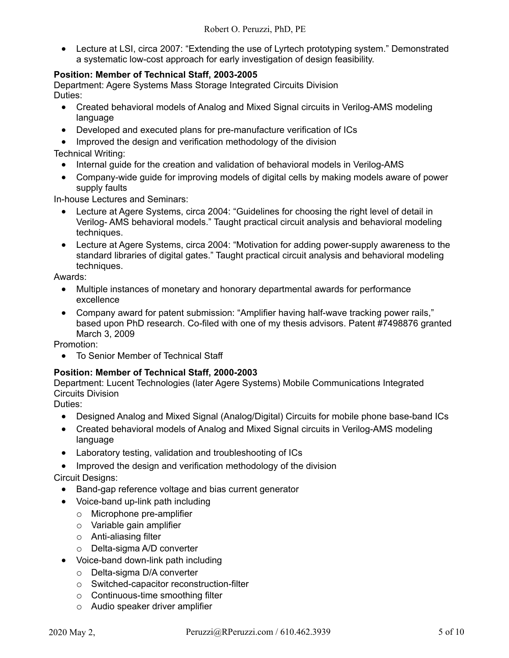• Lecture at LSI, circa 2007: "Extending the use of Lyrtech prototyping system." Demonstrated a systematic low-cost approach for early investigation of design feasibility.

## **Position: Member of Technical Staff, 2003-2005**

Department: Agere Systems Mass Storage Integrated Circuits Division Duties:

- Created behavioral models of Analog and Mixed Signal circuits in Verilog-AMS modeling language
- Developed and executed plans for pre-manufacture verification of ICs

• Improved the design and verification methodology of the division Technical Writing:

- Internal guide for the creation and validation of behavioral models in Verilog-AMS
- Company-wide guide for improving models of digital cells by making models aware of power supply faults

In-house Lectures and Seminars:

- Lecture at Agere Systems, circa 2004: "Guidelines for choosing the right level of detail in Verilog- AMS behavioral models." Taught practical circuit analysis and behavioral modeling techniques.
- Lecture at Agere Systems, circa 2004: "Motivation for adding power-supply awareness to the standard libraries of digital gates." Taught practical circuit analysis and behavioral modeling techniques.

Awards:

- Multiple instances of monetary and honorary departmental awards for performance excellence
- Company award for patent submission: "Amplifier having half-wave tracking power rails," based upon PhD research. Co-filed with one of my thesis advisors. Patent #7498876 granted March 3, 2009

Promotion:

• To Senior Member of Technical Staff

## **Position: Member of Technical Staff, 2000-2003**

Department: Lucent Technologies (later Agere Systems) Mobile Communications Integrated Circuits Division

Duties:

- Designed Analog and Mixed Signal (Analog/Digital) Circuits for mobile phone base-band ICs
- Created behavioral models of Analog and Mixed Signal circuits in Verilog-AMS modeling language
- Laboratory testing, validation and troubleshooting of ICs
- Improved the design and verification methodology of the division

Circuit Designs:

- Band-gap reference voltage and bias current generator
- Voice-band up-link path including
	- o Microphone pre-amplifier
	- o Variable gain amplifier
	- o Anti-aliasing filter
	- o Delta-sigma A/D converter
- Voice-band down-link path including
	- o Delta-sigma D/A converter
	- o Switched-capacitor reconstruction-filter
	- o Continuous-time smoothing filter
	- o Audio speaker driver amplifier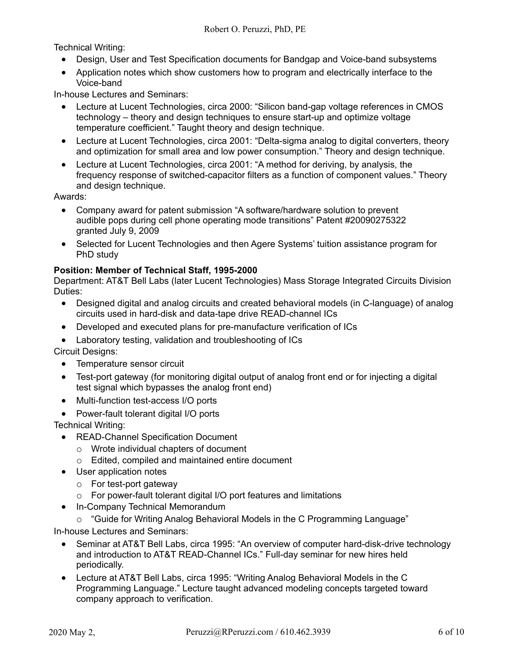Technical Writing:

- Design, User and Test Specification documents for Bandgap and Voice-band subsystems
- Application notes which show customers how to program and electrically interface to the Voice-band

In-house Lectures and Seminars:

- Lecture at Lucent Technologies, circa 2000: "Silicon band-gap voltage references in CMOS technology – theory and design techniques to ensure start-up and optimize voltage temperature coefficient." Taught theory and design technique.
- Lecture at Lucent Technologies, circa 2001: "Delta-sigma analog to digital converters, theory and optimization for small area and low power consumption." Theory and design technique.
- Lecture at Lucent Technologies, circa 2001: "A method for deriving, by analysis, the frequency response of switched-capacitor filters as a function of component values." Theory and design technique.

Awards:

- Company award for patent submission "A software/hardware solution to prevent audible pops during cell phone operating mode transitions" Patent #20090275322 granted July 9, 2009
- Selected for Lucent Technologies and then Agere Systems' tuition assistance program for PhD study

## **Position: Member of Technical Staff, 1995-2000**

Department: AT&T Bell Labs (later Lucent Technologies) Mass Storage Integrated Circuits Division Duties:

- Designed digital and analog circuits and created behavioral models (in C-language) of analog circuits used in hard-disk and data-tape drive READ-channel ICs
- Developed and executed plans for pre-manufacture verification of ICs
- Laboratory testing, validation and troubleshooting of ICs

Circuit Designs:

- Temperature sensor circuit
- Test-port gateway (for monitoring digital output of analog front end or for injecting a digital test signal which bypasses the analog front end)
- Multi-function test-access I/O ports
- Power-fault tolerant digital I/O ports

Technical Writing:

- READ-Channel Specification Document
	- o Wrote individual chapters of document
	- o Edited, compiled and maintained entire document
- User application notes
	- o For test-port gateway
	- o For power-fault tolerant digital I/O port features and limitations
- In-Company Technical Memorandum
	- o "Guide for Writing Analog Behavioral Models in the C Programming Language"

In-house Lectures and Seminars:

- Seminar at AT&T Bell Labs, circa 1995: "An overview of computer hard-disk-drive technology and introduction to AT&T READ-Channel ICs." Full-day seminar for new hires held periodically.
- Lecture at AT&T Bell Labs, circa 1995: "Writing Analog Behavioral Models in the C Programming Language." Lecture taught advanced modeling concepts targeted toward company approach to verification.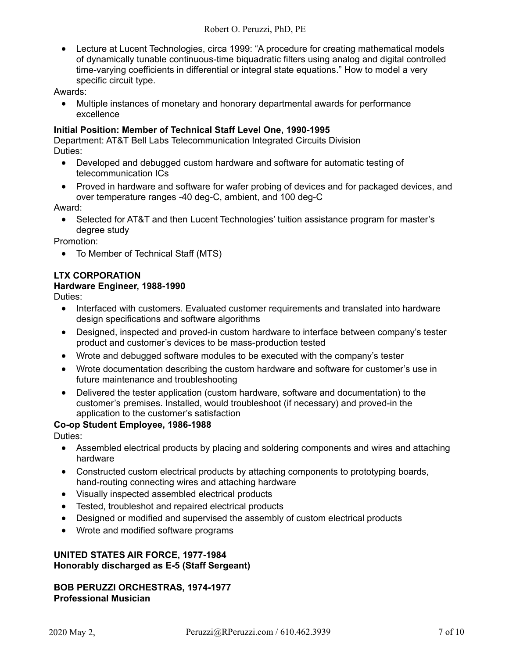• Lecture at Lucent Technologies, circa 1999: "A procedure for creating mathematical models of dynamically tunable continuous-time biquadratic filters using analog and digital controlled time-varying coefficients in differential or integral state equations." How to model a very specific circuit type.

Awards:

• Multiple instances of monetary and honorary departmental awards for performance excellence

#### **Initial Position: Member of Technical Staff Level One, 1990-1995**

Department: AT&T Bell Labs Telecommunication Integrated Circuits Division Duties:

- Developed and debugged custom hardware and software for automatic testing of telecommunication ICs
- Proved in hardware and software for wafer probing of devices and for packaged devices, and over temperature ranges -40 deg-C, ambient, and 100 deg-C

Award:

• Selected for AT&T and then Lucent Technologies' tuition assistance program for master's degree study

Promotion:

• To Member of Technical Staff (MTS)

## **LTX CORPORATION**

#### **Hardware Engineer, 1988-1990**

Duties:

- Interfaced with customers. Evaluated customer requirements and translated into hardware design specifications and software algorithms
- Designed, inspected and proved-in custom hardware to interface between company's tester product and customer's devices to be mass-production tested
- Wrote and debugged software modules to be executed with the company's tester
- Wrote documentation describing the custom hardware and software for customer's use in future maintenance and troubleshooting
- Delivered the tester application (custom hardware, software and documentation) to the customer's premises. Installed, would troubleshoot (if necessary) and proved-in the application to the customer's satisfaction

## **Co-op Student Employee, 1986-1988**

Duties:

- Assembled electrical products by placing and soldering components and wires and attaching hardware
- Constructed custom electrical products by attaching components to prototyping boards, hand-routing connecting wires and attaching hardware
- Visually inspected assembled electrical products
- Tested, troubleshot and repaired electrical products
- Designed or modified and supervised the assembly of custom electrical products
- Wrote and modified software programs

#### **UNITED STATES AIR FORCE, 1977-1984 Honorably discharged as E-5 (Staff Sergeant)**

## **BOB PERUZZI ORCHESTRAS, 1974-1977 Professional Musician**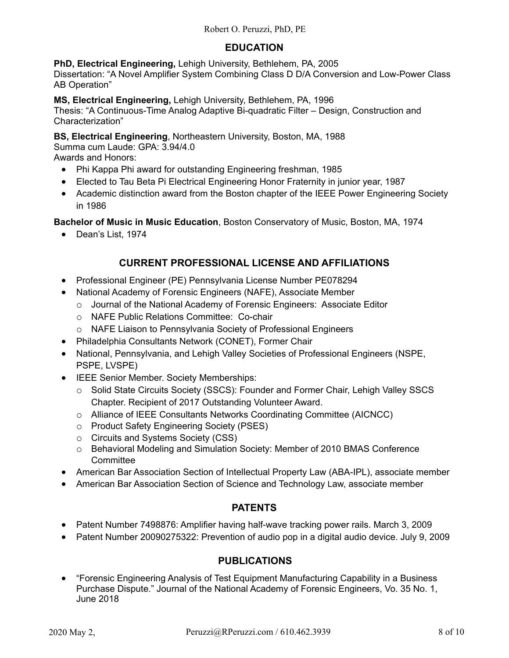## **EDUCATION**

**PhD, Electrical Engineering,** Lehigh University, Bethlehem, PA, 2005 Dissertation: "A Novel Amplifier System Combining Class D D/A Conversion and Low-Power Class AB Operation"

**MS, Electrical Engineering,** Lehigh University, Bethlehem, PA, 1996 Thesis: "A Continuous-Time Analog Adaptive Bi-quadratic Filter – Design, Construction and Characterization"

**BS, Electrical Engineering**, Northeastern University, Boston, MA, 1988

Summa cum Laude: GPA: 3.94/4.0

Awards and Honors:

- Phi Kappa Phi award for outstanding Engineering freshman, 1985
- Elected to Tau Beta Pi Electrical Engineering Honor Fraternity in junior year, 1987
- Academic distinction award from the Boston chapter of the IEEE Power Engineering Society in 1986

**Bachelor of Music in Music Education**, Boston Conservatory of Music, Boston, MA, 1974

• Dean's List, 1974

# **CURRENT PROFESSIONAL LICENSE AND AFFILIATIONS**

- Professional Engineer (PE) Pennsylvania License Number PE078294
- National Academy of Forensic Engineers (NAFE), Associate Member
	- o Journal of the National Academy of Forensic Engineers: Associate Editor
	- o NAFE Public Relations Committee: Co-chair
	- o NAFE Liaison to Pennsylvania Society of Professional Engineers
- Philadelphia Consultants Network (CONET), Former Chair
- National, Pennsylvania, and Lehigh Valley Societies of Professional Engineers (NSPE, PSPE, LVSPE)
- IEEE Senior Member. Society Memberships:
	- o Solid State Circuits Society (SSCS): Founder and Former Chair, Lehigh Valley SSCS Chapter. Recipient of 2017 Outstanding Volunteer Award.
	- o Alliance of IEEE Consultants Networks Coordinating Committee (AICNCC)
	- o Product Safety Engineering Society (PSES)
	- o Circuits and Systems Society (CSS)
	- o Behavioral Modeling and Simulation Society: Member of 2010 BMAS Conference **Committee**
- American Bar Association Section of Intellectual Property Law (ABA-IPL), associate member
- American Bar Association Section of Science and Technology Law, associate member

# **PATENTS**

- Patent Number 7498876: Amplifier having half-wave tracking power rails. March 3, 2009
- Patent Number 20090275322: Prevention of audio pop in a digital audio device. July 9, 2009

## **PUBLICATIONS**

• "Forensic Engineering Analysis of Test Equipment Manufacturing Capability in a Business Purchase Dispute." Journal of the National Academy of Forensic Engineers, Vo. 35 No. 1, June 2018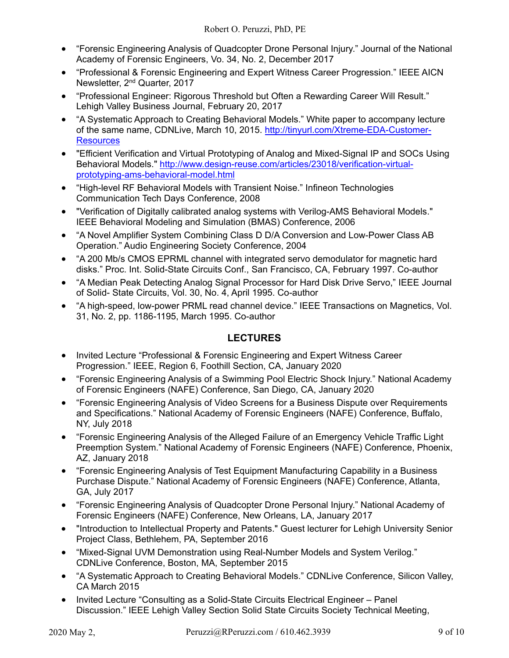- "Forensic Engineering Analysis of Quadcopter Drone Personal Injury." Journal of the National Academy of Forensic Engineers, Vo. 34, No. 2, December 2017
- "Professional & Forensic Engineering and Expert Witness Career Progression." IEEE AICN Newsletter, 2nd Quarter, 2017
- "Professional Engineer: Rigorous Threshold but Often a Rewarding Career Will Result." Lehigh Valley Business Journal, February 20, 2017
- "A Systematic Approach to Creating Behavioral Models." White paper to accompany lecture of the same name, CDNLive, March 10, 2015. [http://tinyurl.com/Xtreme-EDA-Customer-](http://tinyurl.com/Xtreme-EDA-Customer-Resources)**[Resources](http://tinyurl.com/Xtreme-EDA-Customer-Resources)**
- "Efficient Verification and Virtual Prototyping of Analog and Mixed-Signal IP and SOCs Using Behavioral Models." [http://www.design-reuse.com/articles/23018/verification-virtual](http://www.design-reuse.com/articles/23018/verification-virtual-prototyping-ams-behavioral-model.html)[prototyping-ams-behavioral-model.html](http://www.design-reuse.com/articles/23018/verification-virtual-prototyping-ams-behavioral-model.html)
- "High-level RF Behavioral Models with Transient Noise." Infineon Technologies Communication Tech Days Conference, 2008
- "Verification of Digitally calibrated analog systems with Verilog-AMS Behavioral Models." IEEE Behavioral Modeling and Simulation (BMAS) Conference, 2006
- "A Novel Amplifier System Combining Class D D/A Conversion and Low-Power Class AB Operation." Audio Engineering Society Conference, 2004
- "A 200 Mb/s CMOS EPRML channel with integrated servo demodulator for magnetic hard disks." Proc. Int. Solid-State Circuits Conf., San Francisco, CA, February 1997. Co-author
- "A Median Peak Detecting Analog Signal Processor for Hard Disk Drive Servo," IEEE Journal of Solid- State Circuits, Vol. 30, No. 4, April 1995. Co-author
- "A high-speed, low-power PRML read channel device." IEEE Transactions on Magnetics, Vol. 31, No. 2, pp. 1186-1195, March 1995. Co-author

# **LECTURES**

- Invited Lecture "Professional & Forensic Engineering and Expert Witness Career Progression." IEEE, Region 6, Foothill Section, CA, January 2020
- "Forensic Engineering Analysis of a Swimming Pool Electric Shock Injury." National Academy of Forensic Engineers (NAFE) Conference, San Diego, CA, January 2020
- "Forensic Engineering Analysis of Video Screens for a Business Dispute over Requirements and Specifications." National Academy of Forensic Engineers (NAFE) Conference, Buffalo, NY, July 2018
- "Forensic Engineering Analysis of the Alleged Failure of an Emergency Vehicle Traffic Light Preemption System." National Academy of Forensic Engineers (NAFE) Conference, Phoenix, AZ, January 2018
- "Forensic Engineering Analysis of Test Equipment Manufacturing Capability in a Business Purchase Dispute." National Academy of Forensic Engineers (NAFE) Conference, Atlanta, GA, July 2017
- "Forensic Engineering Analysis of Quadcopter Drone Personal Injury." National Academy of Forensic Engineers (NAFE) Conference, New Orleans, LA, January 2017
- "Introduction to Intellectual Property and Patents." Guest lecturer for Lehigh University Senior Project Class, Bethlehem, PA, September 2016
- "Mixed-Signal UVM Demonstration using Real-Number Models and System Verilog." CDNLive Conference, Boston, MA, September 2015
- "A Systematic Approach to Creating Behavioral Models." CDNLive Conference, Silicon Valley, CA March 2015
- Invited Lecture "Consulting as a Solid-State Circuits Electrical Engineer Panel Discussion." IEEE Lehigh Valley Section Solid State Circuits Society Technical Meeting,